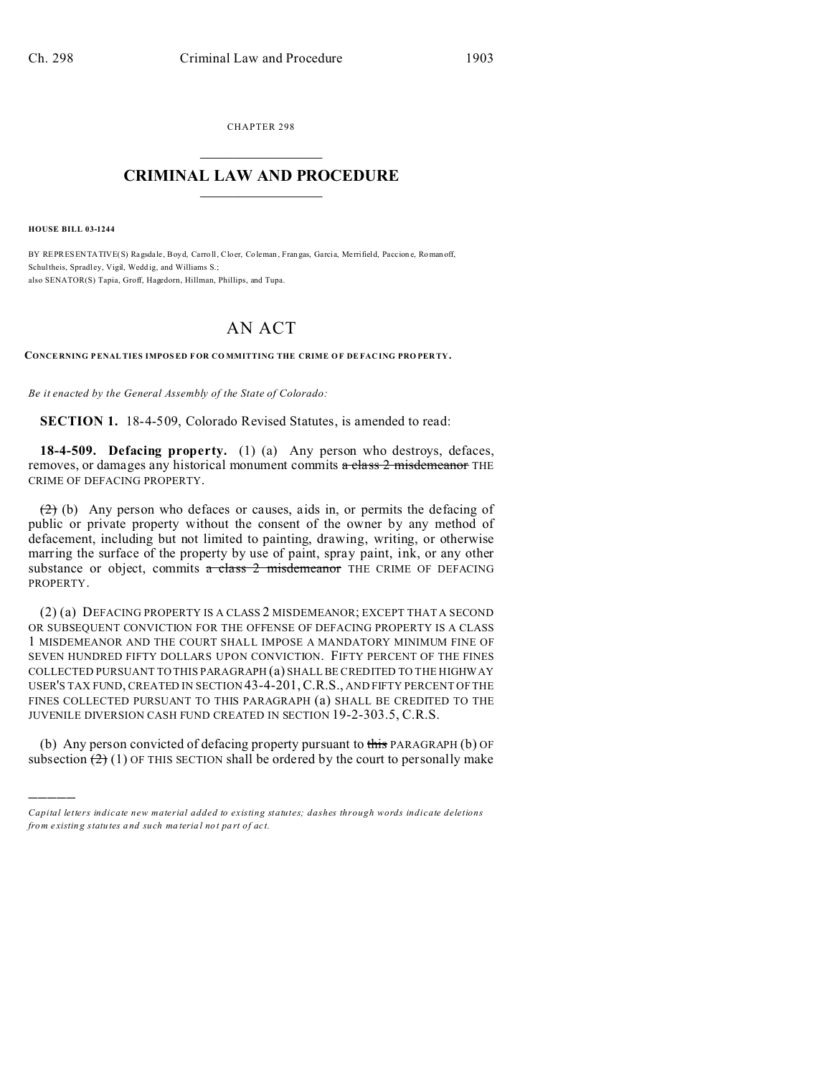CHAPTER 298  $\overline{\phantom{a}}$  , where  $\overline{\phantom{a}}$ 

## **CRIMINAL LAW AND PROCEDURE**  $\_$   $\_$   $\_$   $\_$   $\_$   $\_$   $\_$   $\_$   $\_$

**HOUSE BILL 03-1244**

)))))

BY REPRESENTATIVE(S) Ragsda le, Boyd, Carro ll, Cloer, Coleman , Fran gas, Garcia, Me rrifield, Paccion e, Roman off, Schultheis, Spradl ey, Vigil, Wedd ig, and Williams S.; also SENATOR(S) Tapia, Groff, Hagedorn, Hillman, Phillips, and Tupa.

## AN ACT

**CONCE RNING PENALTIES IMPOSED F OR CO MMITTING THE CRIME O F DEFAC ING PRO PER TY.**

*Be it enacted by the General Assembly of the State of Colorado:*

**SECTION 1.** 18-4-509, Colorado Revised Statutes, is amended to read:

**18-4-509. Defacing property.** (1) (a) Any person who destroys, defaces, removes, or damages any historical monument commits  $\alpha$  class 2 misdemeanor THE CRIME OF DEFACING PROPERTY.

 $(2)$  (b) Any person who defaces or causes, aids in, or permits the defacing of public or private property without the consent of the owner by any method of defacement, including but not limited to painting, drawing, writing, or otherwise marring the surface of the property by use of paint, spray paint, ink, or any other substance or object, commits a class 2 misdemeanor THE CRIME OF DEFACING PROPERTY.

(2) (a) DEFACING PROPERTY IS A CLASS 2 MISDEMEANOR; EXCEPT THAT A SECOND OR SUBSEQUENT CONVICTION FOR THE OFFENSE OF DEFACING PROPERTY IS A CLASS 1 MISDEMEANOR AND THE COURT SHALL IMPOSE A MANDATORY MINIMUM FINE OF SEVEN HUNDRED FIFTY DOLLARS UPON CONVICTION. FIFTY PERCENT OF THE FINES COLLECTED PURSUANT TO THIS PARAGRAPH (a) SHALL BE CREDITED TO THE HIGHWAY USER'S TAX FUND, CREATED IN SECTION 43-4-201,C.R.S., AND FIFTY PERCENT OF THE FINES COLLECTED PURSUANT TO THIS PARAGRAPH (a) SHALL BE CREDITED TO THE JUVENILE DIVERSION CASH FUND CREATED IN SECTION 19-2-303.5, C.R.S.

(b) Any person convicted of defacing property pursuant to this PARAGRAPH  $(b)$  OF subsection  $(2)(1)$  OF THIS SECTION shall be ordered by the court to personally make

*Capital letters indicate new material added to existing statutes; dashes through words indicate deletions from e xistin g statu tes a nd such ma teria l no t pa rt of ac t.*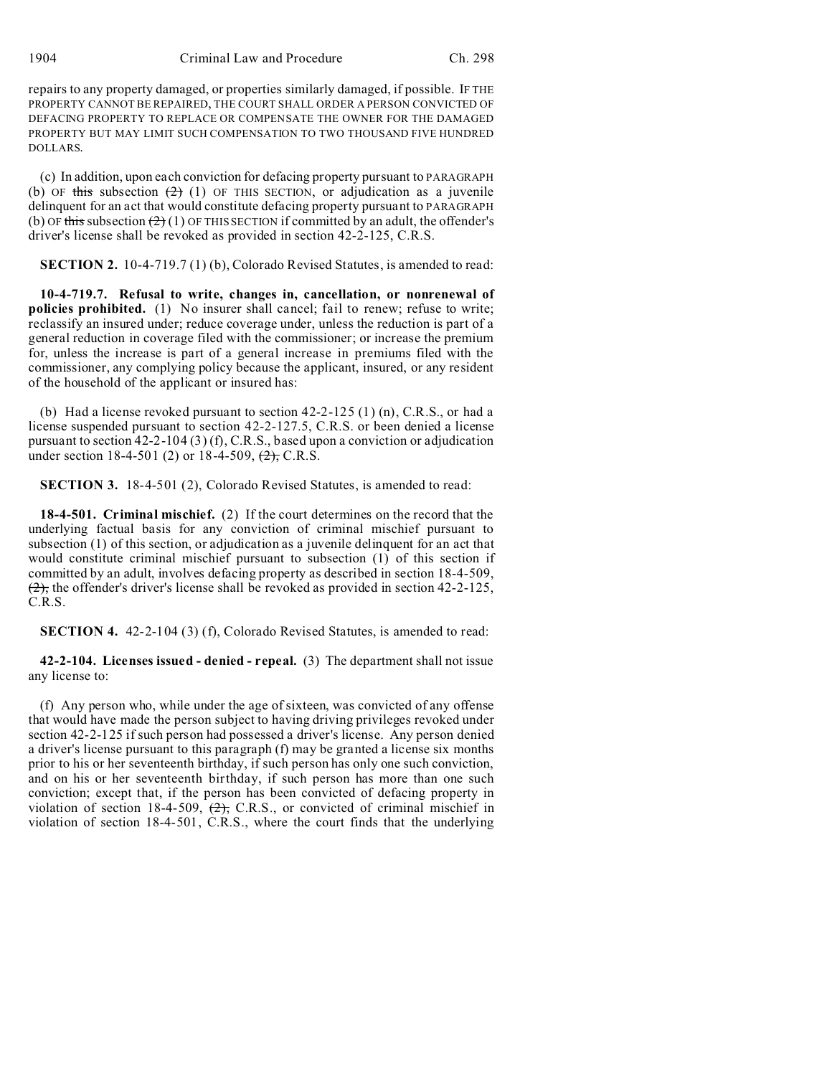repairs to any property damaged, or properties similarly damaged, if possible. IF THE PROPERTY CANNOT BE REPAIRED, THE COURT SHALL ORDER A PERSON CONVICTED OF DEFACING PROPERTY TO REPLACE OR COMPENSATE THE OWNER FOR THE DAMAGED PROPERTY BUT MAY LIMIT SUCH COMPENSATION TO TWO THOUSAND FIVE HUNDRED DOLLARS.

(c) In addition, upon each conviction for defacing property pursuant to PARAGRAPH (b) OF this subsection  $(2)$  (1) OF THIS SECTION, or adjudication as a juvenile delinquent for an act that would constitute defacing property pursuant to PARAGRAPH (b) OF this subsection  $(2)(1)$  OF THIS SECTION if committed by an adult, the offender's driver's license shall be revoked as provided in section 42-2-125, C.R.S.

**SECTION 2.** 10-4-719.7 (1) (b), Colorado Revised Statutes, is amended to read:

**10-4-719.7. Refusal to write, changes in, cancellation, or nonrenewal of policies prohibited.** (1) No insurer shall cancel; fail to renew; refuse to write; reclassify an insured under; reduce coverage under, unless the reduction is part of a general reduction in coverage filed with the commissioner; or increase the premium for, unless the increase is part of a general increase in premiums filed with the commissioner, any complying policy because the applicant, insured, or any resident of the household of the applicant or insured has:

(b) Had a license revoked pursuant to section  $42-2-125$  (1) (n), C.R.S., or had a license suspended pursuant to section 42-2-127.5, C.R.S. or been denied a license pursuant to section 42-2-104 (3) (f), C.R.S., based upon a conviction or adjudication under section 18-4-501 (2) or 18-4-509,  $\left(\frac{2}{2}\right)$ , C.R.S.

**SECTION 3.** 18-4-501 (2), Colorado Revised Statutes, is amended to read:

**18-4-501. Criminal mischief.** (2) If the court determines on the record that the underlying factual basis for any conviction of criminal mischief pursuant to subsection (1) of this section, or adjudication as a juvenile delinquent for an act that would constitute criminal mischief pursuant to subsection (1) of this section if committed by an adult, involves defacing property as described in section 18-4-509,  $(2)$ , the offender's driver's license shall be revoked as provided in section 42-2-125, C.R.S.

**SECTION 4.** 42-2-104 (3) (f), Colorado Revised Statutes, is amended to read:

**42-2-104. Licenses issued - denied - repeal.** (3) The department shall not issue any license to:

(f) Any person who, while under the age of sixteen, was convicted of any offense that would have made the person subject to having driving privileges revoked under section 42-2-125 if such person had possessed a driver's license. Any person denied a driver's license pursuant to this paragraph (f) may be granted a license six months prior to his or her seventeenth birthday, if such person has only one such conviction, and on his or her seventeenth birthday, if such person has more than one such conviction; except that, if the person has been convicted of defacing property in violation of section 18-4-509,  $\left(2\right)$ , C.R.S., or convicted of criminal mischief in violation of section 18-4-501, C.R.S., where the court finds that the underlying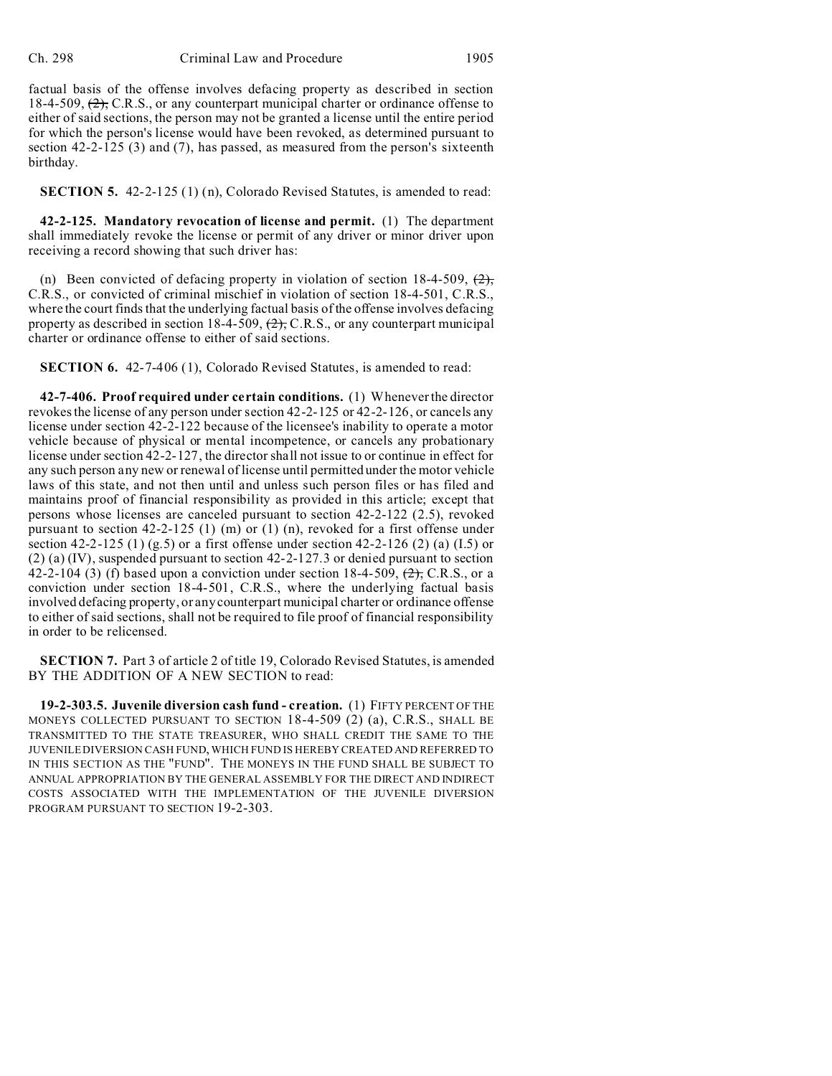factual basis of the offense involves defacing property as described in section 18-4-509,  $\left(2\right)$ , C.R.S., or any counterpart municipal charter or ordinance offense to either of said sections, the person may not be granted a license until the entire period for which the person's license would have been revoked, as determined pursuant to section 42-2-125 (3) and (7), has passed, as measured from the person's sixteenth birthday.

**SECTION 5.** 42-2-125 (1) (n), Colorado Revised Statutes, is amended to read:

**42-2-125. Mandatory revocation of license and permit.** (1) The department shall immediately revoke the license or permit of any driver or minor driver upon receiving a record showing that such driver has:

(n) Been convicted of defacing property in violation of section 18-4-509,  $(2)$ , C.R.S., or convicted of criminal mischief in violation of section 18-4-501, C.R.S., where the court finds that the underlying factual basis of the offense involves defacing property as described in section 18-4-509,  $(2)$ , C.R.S., or any counterpart municipal charter or ordinance offense to either of said sections.

**SECTION 6.** 42-7-406 (1), Colorado Revised Statutes, is amended to read:

**42-7-406. Proof required under certain conditions.** (1) Whenever the director revokes the license of any person under section 42-2-125 or 42-2-126, or cancels any license under section 42-2-122 because of the licensee's inability to operate a motor vehicle because of physical or mental incompetence, or cancels any probationary license under section 42-2-127, the director shall not issue to or continue in effect for any such person any new or renewal of license until permitted under the motor vehicle laws of this state, and not then until and unless such person files or has filed and maintains proof of financial responsibility as provided in this article; except that persons whose licenses are canceled pursuant to section 42-2-122 (2.5), revoked pursuant to section 42-2-125 (1) (m) or (1) (n), revoked for a first offense under section 42-2-125 (1) (g.5) or a first offense under section 42-2-126 (2) (a) (I.5) or (2) (a) (IV), suspended pursuant to section 42-2-127.3 or denied pursuant to section 42-2-104 (3) (f) based upon a conviction under section 18-4-509,  $\left(2\right)$ , C.R.S., or a conviction under section 18-4-501, C.R.S., where the underlying factual basis involved defacing property, or any counterpart municipal charter or ordinance offense to either of said sections, shall not be required to file proof of financial responsibility in order to be relicensed.

**SECTION 7.** Part 3 of article 2 of title 19, Colorado Revised Statutes, is amended BY THE ADDITION OF A NEW SECTION to read:

**19-2-303.5. Juvenile diversion cash fund - creation.** (1) FIFTY PERCENT OF THE MONEYS COLLECTED PURSUANT TO SECTION 18-4-509 (2) (a), C.R.S., SHALL BE TRANSMITTED TO THE STATE TREASURER, WHO SHALL CREDIT THE SAME TO THE JUVENILE DIVERSION CASH FUND, WHICH FUND IS HEREBY CREATED AND REFERRED TO IN THIS SECTION AS THE "FUND". THE MONEYS IN THE FUND SHALL BE SUBJECT TO ANNUAL APPROPRIATION BY THE GENERAL ASSEMBLY FOR THE DIRECT AND INDIRECT COSTS ASSOCIATED WITH THE IMPLEMENTATION OF THE JUVENILE DIVERSION PROGRAM PURSUANT TO SECTION 19-2-303.